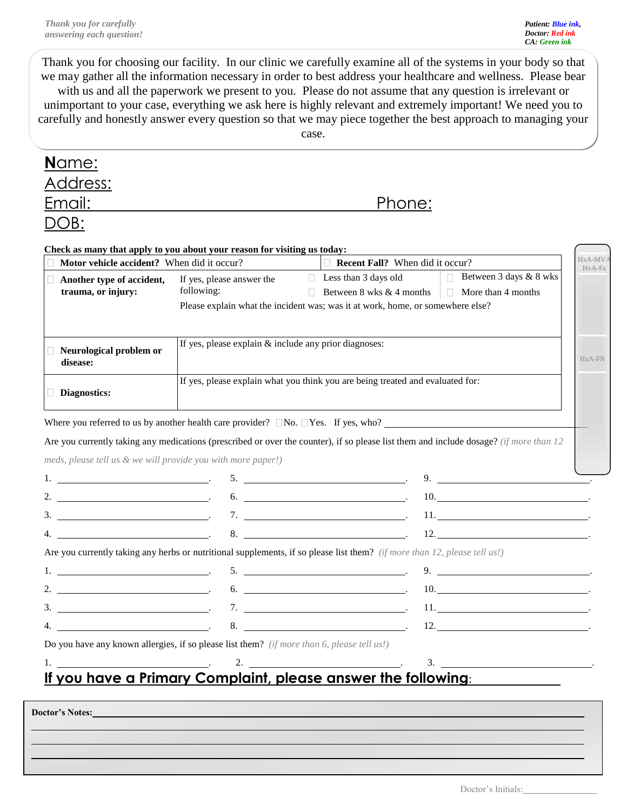Thank you for choosing our facility. In our clinic we carefully examine all of the systems in your body so that we may gather all the information necessary in order to best address your healthcare and wellness. Please bear with us and all the paperwork we present to you. Please do not assume that any question is irrelevant or unimportant to your case, everything we ask here is highly relevant and extremely important! We need you to carefully and honestly answer every question so that we may piece together the best approach to managing your case.

| Email:                                                                                     | <u>Phone:</u>                                                                  |                                                                                                                                                                                                                                                                                                                     |                                   |  |  |  |
|--------------------------------------------------------------------------------------------|--------------------------------------------------------------------------------|---------------------------------------------------------------------------------------------------------------------------------------------------------------------------------------------------------------------------------------------------------------------------------------------------------------------|-----------------------------------|--|--|--|
| OB:                                                                                        |                                                                                |                                                                                                                                                                                                                                                                                                                     |                                   |  |  |  |
|                                                                                            |                                                                                |                                                                                                                                                                                                                                                                                                                     |                                   |  |  |  |
| Check as many that apply to you about your reason for visiting us today:                   |                                                                                | $\Box$ Recent Fall? When did it occur?                                                                                                                                                                                                                                                                              |                                   |  |  |  |
| Motor vehicle accident? When did it occur?                                                 | If yes, please answer the                                                      | $\Box$ Less than 3 days old                                                                                                                                                                                                                                                                                         | <b>Between 3 days &amp; 8 wks</b> |  |  |  |
| Another type of accident,<br>trauma, or injury:                                            | following:                                                                     | Between 8 wks & 4 months                                                                                                                                                                                                                                                                                            | $\Box$ More than 4 months         |  |  |  |
|                                                                                            | Please explain what the incident was; was it at work, home, or somewhere else? |                                                                                                                                                                                                                                                                                                                     |                                   |  |  |  |
|                                                                                            |                                                                                |                                                                                                                                                                                                                                                                                                                     |                                   |  |  |  |
|                                                                                            | If yes, please explain & include any prior diagnoses:                          |                                                                                                                                                                                                                                                                                                                     |                                   |  |  |  |
| disease:                                                                                   | Neurological problem or                                                        |                                                                                                                                                                                                                                                                                                                     |                                   |  |  |  |
|                                                                                            | If yes, please explain what you think you are being treated and evaluated for: |                                                                                                                                                                                                                                                                                                                     |                                   |  |  |  |
|                                                                                            |                                                                                |                                                                                                                                                                                                                                                                                                                     |                                   |  |  |  |
|                                                                                            |                                                                                | Where you referred to us by another health care provider? $\Box$ No. $\Box$ Yes. If yes, who?<br>Are you currently taking any medications (prescribed or over the counter), if so please list them and include dosage? (if more than 12)                                                                            |                                   |  |  |  |
| Diagnostics:<br>meds, please tell us & we will provide you with more paper!)               |                                                                                |                                                                                                                                                                                                                                                                                                                     | 9. $\qquad \qquad \qquad \qquad$  |  |  |  |
| 2. $\overline{\phantom{a}}$                                                                |                                                                                | $6.$ $\overline{\phantom{a}}$                                                                                                                                                                                                                                                                                       | $10.$ $\qquad \qquad \qquad$      |  |  |  |
|                                                                                            |                                                                                | $7.$ $\overline{\phantom{1.55\%}}$                                                                                                                                                                                                                                                                                  |                                   |  |  |  |
|                                                                                            |                                                                                |                                                                                                                                                                                                                                                                                                                     | 12.                               |  |  |  |
|                                                                                            |                                                                                | Are you currently taking any herbs or nutritional supplements, if so please list them? (if more than 12, please tell us!)                                                                                                                                                                                           |                                   |  |  |  |
| the contract of the contract of the contract of the contract of                            |                                                                                | $\mathbf{6.}$                                                                                                                                                                                                                                                                                                       | 9. $\qquad \qquad$<br>10.         |  |  |  |
| 3.                                                                                         |                                                                                |                                                                                                                                                                                                                                                                                                                     | 11.                               |  |  |  |
|                                                                                            | 7.                                                                             | $\overline{\phantom{a}}$<br>$\sim$ 8. $\sim$ 12.                                                                                                                                                                                                                                                                    |                                   |  |  |  |
| Do you have any known allergies, if so please list them? (if more than 6, please tell us!) |                                                                                |                                                                                                                                                                                                                                                                                                                     |                                   |  |  |  |
|                                                                                            |                                                                                | $\frac{1}{2}$ $\frac{2}{2}$ $\frac{2}{2}$ $\frac{3}{2}$ $\frac{3}{2}$ $\frac{3}{2}$ $\frac{3}{2}$ $\frac{3}{2}$ $\frac{3}{2}$ $\frac{3}{2}$ $\frac{3}{2}$ $\frac{3}{2}$ $\frac{3}{2}$ $\frac{3}{2}$ $\frac{3}{2}$ $\frac{3}{2}$ $\frac{3}{2}$ $\frac{3}{2}$ $\frac{3}{2}$ $\frac{3}{2}$ $\frac{3}{2}$ $\frac{3}{2}$ |                                   |  |  |  |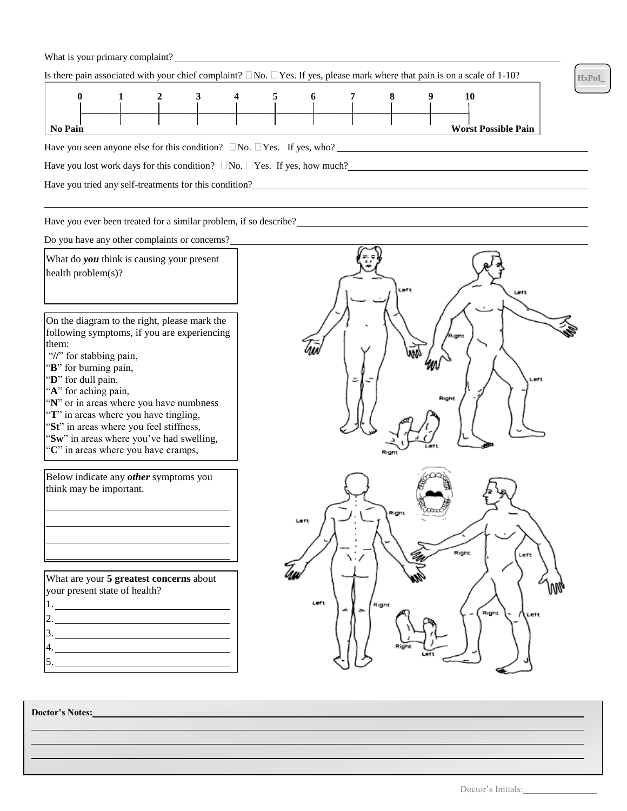## What is your primary complaint?<br>
<u>
</u>

| $\bf{0}$                                                                             |  |                                                        | 6 |  | 10                         |
|--------------------------------------------------------------------------------------|--|--------------------------------------------------------|---|--|----------------------------|
|                                                                                      |  |                                                        |   |  |                            |
|                                                                                      |  |                                                        |   |  |                            |
| <b>No Pain</b>                                                                       |  |                                                        |   |  | <b>Worst Possible Pain</b> |
| Have you seen anyone else for this condition? $\Box$ No. $\Box$ Yes. If yes, who?    |  |                                                        |   |  |                            |
| Have you lost work days for this condition? $\Box$ No. $\Box$ Yes. If yes, how much? |  |                                                        |   |  |                            |
|                                                                                      |  | Have you tried any self-treatments for this condition? |   |  |                            |

Have you ever been treated for a similar problem, if so describe?<br>
<u>Examples</u>

Do you have any other complaints or concerns?

 What do *you* think is causing your present health problem(s)?

On the diagram to the right, please mark the following symptoms, if you are experiencing them:

- "//" for stabbing pain,
- "**B**" for burning pain,
- "**D**" for dull pain,
- "**A**" for aching pain,
- "**N**" or in areas where you have numbness
- "T" in areas where you have tingling,
- "St" in areas where you feel stiffness,
- "**Sw**" in areas where you've had swelling, "**C**" in areas where you have cramps,

Below indicate any *other* symptoms you think may be important.

What are your **5 greatest concerns** about your present state of health? 1. 2. 3.

4.

5.



**Doctor's Notes:**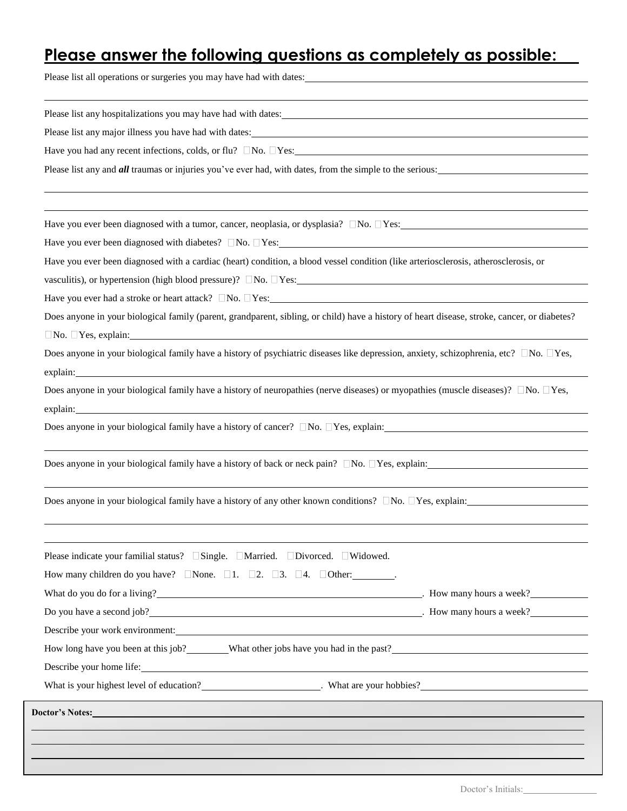## **Please answer the following questions as completely as possible:**

Please list all operations or surgeries you may have had with dates:

| Please list any major illness you have had with dates: 1999 and 2009 and 2009 and 2009 and 2009 and 2009 and 2009 and 2009 and 2009 and 2009 and 2009 and 2009 and 2009 and 2009 and 2009 and 2009 and 2009 and 2009 and 2009                                                                                                                                                   |  |
|---------------------------------------------------------------------------------------------------------------------------------------------------------------------------------------------------------------------------------------------------------------------------------------------------------------------------------------------------------------------------------|--|
| Have you had any recent infections, colds, or flu? $\Box$ No. $\Box$ Yes:                                                                                                                                                                                                                                                                                                       |  |
| Please list any and <i>all</i> traumas or injuries you've ever had, with dates, from the simple to the serious:                                                                                                                                                                                                                                                                 |  |
|                                                                                                                                                                                                                                                                                                                                                                                 |  |
|                                                                                                                                                                                                                                                                                                                                                                                 |  |
| Have you ever been diagnosed with a cardiac (heart) condition, a blood vessel condition (like arteriosclerosis, atherosclerosis, or                                                                                                                                                                                                                                             |  |
|                                                                                                                                                                                                                                                                                                                                                                                 |  |
| Does anyone in your biological family (parent, grandparent, sibling, or child) have a history of heart disease, stroke, cancer, or diabetes?<br>$\Box$ No. $\Box$ Yes, explain: $\Box$                                                                                                                                                                                          |  |
| Does anyone in your biological family have a history of psychiatric diseases like depression, anxiety, schizophrenia, etc? $\square$ No. $\square$ Yes,<br>explain: explain:                                                                                                                                                                                                    |  |
| Does anyone in your biological family have a history of neuropathies (nerve diseases) or myopathies (muscle diseases)? $\Box$ No. $\Box$ Yes,<br>explain: explaint and the contract of the contract of the contract of the contract of the contract of the contract of the contract of the contract of the contract of the contract of the contract of the contract of the cont |  |
| Does anyone in your biological family have a history of cancer? $\Box$ No. $\Box$ Yes, explain:                                                                                                                                                                                                                                                                                 |  |
| ,我们也不会有什么。""我们的人,我们也不会有什么?""我们的人,我们也不会有什么?""我们的人,我们也不会有什么?""我们的人,我们也不会有什么?""我们的人<br>Does anyone in your biological family have a history of back or neck pain? $\Box$ No. $\Box$ Yes, explain:                                                                                                                                                                                  |  |
| Does anyone in your biological family have a history of any other known conditions? $\Box$ No. $\Box$ Yes, explain:                                                                                                                                                                                                                                                             |  |
| Please indicate your familial status? □Single. □Married. □Divorced. □Widowed.                                                                                                                                                                                                                                                                                                   |  |
| How many children do you have? None. $\Box$ 1. $\Box$ 2. $\Box$ 3. $\Box$ 4. $\Box$ Other:                                                                                                                                                                                                                                                                                      |  |
| What do you do for a living?<br><u>U.S. All the same of the same of the same of the same of the same of the same of the same of the same of the same of the same of the same of the same of the same of the same of the same of th</u>                                                                                                                                          |  |
| Do you have a second job?<br><u>Do you have a second job?</u><br><u>Do you have a second job?</u>                                                                                                                                                                                                                                                                               |  |
| Describe your work environment: Universe of the state of the state of the state of the state of the state of the state of the state of the state of the state of the state of the state of the state of the state of the state                                                                                                                                                  |  |
| How long have you been at this job? What other jobs have you had in the past?                                                                                                                                                                                                                                                                                                   |  |
|                                                                                                                                                                                                                                                                                                                                                                                 |  |
| What is your highest level of education?<br><u> What are your hobbies?</u>                                                                                                                                                                                                                                                                                                      |  |
|                                                                                                                                                                                                                                                                                                                                                                                 |  |
|                                                                                                                                                                                                                                                                                                                                                                                 |  |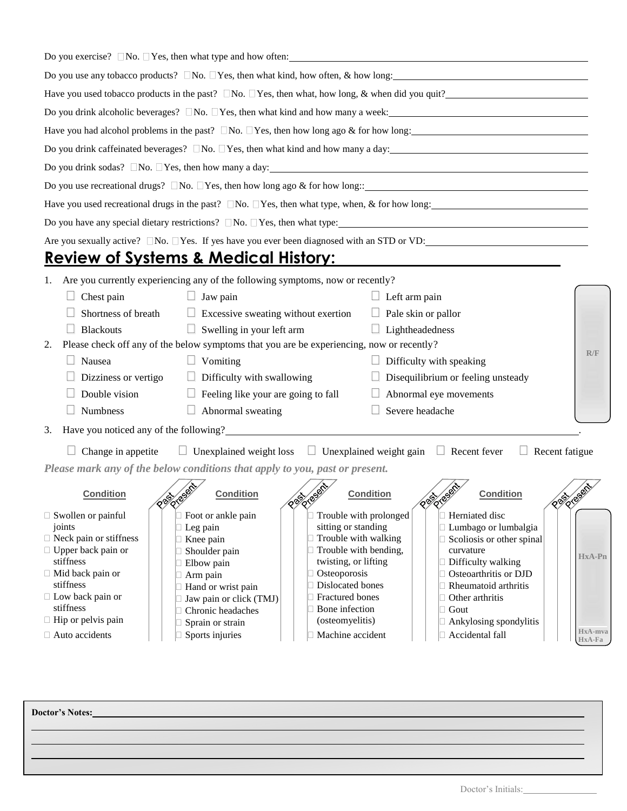| Do you exercise? $\Box$ No. $\Box$ Yes, then what type and how often:                                                                                              |         |  |  |  |  |  |
|--------------------------------------------------------------------------------------------------------------------------------------------------------------------|---------|--|--|--|--|--|
| Do you use any tobacco products? $\Box$ No. $\Box$ Yes, then what kind, how often, & how long:                                                                     |         |  |  |  |  |  |
| Have you used tobacco products in the past? $\Box$ No. $\Box$ Yes, then what, how long, & when did you quit?                                                       |         |  |  |  |  |  |
| Do you drink alcoholic beverages? $\Box$ No. $\Box$ Yes, then what kind and how many a week:                                                                       |         |  |  |  |  |  |
| Have you had alcohol problems in the past? $\square$ No. $\square$ Yes, then how long ago & for how long:                                                          |         |  |  |  |  |  |
| Do you drink caffeinated beverages? $\Box$ No. $\Box$ Yes, then what kind and how many a day:                                                                      |         |  |  |  |  |  |
| Do you drink sodas? $\Box$ No. $\Box$ Yes, then how many a day:                                                                                                    |         |  |  |  |  |  |
| Do you use recreational drugs? $\Box$ No. $\Box$ Yes, then how long ago & for how long::                                                                           |         |  |  |  |  |  |
| Have you used recreational drugs in the past? $\square$ No. $\square$ Yes, then what type, when, & for how long:                                                   |         |  |  |  |  |  |
| Do you have any special dietary restrictions? $\Box$ No. $\Box$ Yes, then what type:                                                                               |         |  |  |  |  |  |
| Are you sexually active? $\Box$ No. $\Box$ Yes. If yes have you ever been diagnosed with an STD or VD:                                                             |         |  |  |  |  |  |
| <b>Review of Systems &amp; Medical History:</b>                                                                                                                    |         |  |  |  |  |  |
| Are you currently experiencing any of the following symptoms, now or recently?<br>1.                                                                               |         |  |  |  |  |  |
| $\Box$ Left arm pain<br>Chest pain<br>Jaw pain<br>u                                                                                                                |         |  |  |  |  |  |
| Shortness of breath<br>Excessive sweating without exertion<br>$\Box$ Pale skin or pallor                                                                           |         |  |  |  |  |  |
| $\Box$ Swelling in your left arm<br>$\Box$ Lightheadedness<br><b>Blackouts</b>                                                                                     |         |  |  |  |  |  |
| Please check off any of the below symptoms that you are be experiencing, now or recently?<br>2.                                                                    |         |  |  |  |  |  |
| R/F<br>Nausea<br>$\Box$ Difficulty with speaking<br>Vomiting                                                                                                       |         |  |  |  |  |  |
| Disequilibrium or feeling unsteady<br>Dizziness or vertigo<br>Difficulty with swallowing                                                                           |         |  |  |  |  |  |
| Double vision<br>$\Box$ Feeling like your are going to fall<br>Abnormal eye movements                                                                              |         |  |  |  |  |  |
| Abnormal sweating<br>$\Box$ Severe headache<br>Numbness                                                                                                            |         |  |  |  |  |  |
| 3.                                                                                                                                                                 |         |  |  |  |  |  |
| $\Box$ Unexplained weight loss $\Box$ Unexplained weight gain $\Box$ Recent fever<br>Change in appetite<br>$\Box$ Recent fatigue                                   |         |  |  |  |  |  |
| Please mark any of the below conditions that apply to you, past or present.                                                                                        |         |  |  |  |  |  |
| <b>Condition</b><br><b>Condition</b><br><b>Condition</b><br><b>DESCRIPTION</b><br><b>Condition</b><br><b>DESCRIPTION</b><br><b>REA</b>                             |         |  |  |  |  |  |
| Trouble with prolonged<br>Herniated disc<br>$\Box$ Swollen or painful<br>Foot or ankle pain                                                                        |         |  |  |  |  |  |
| sitting or standing<br>joints<br>$\Box$ Leg pain<br>Lumbago or lumbalgia<br>$\Box$ Neck pain or stiffness                                                          |         |  |  |  |  |  |
| $\Box$ Trouble with walking<br>□ Knee pain<br>Scoliosis or other spinal<br>$\Box$ Upper back pain or<br>$\Box$ Trouble with bending,<br>Shoulder pain<br>curvature |         |  |  |  |  |  |
| HxA-Pn<br>stiffness<br>twisting, or lifting<br>Difficulty walking<br>$\Box$ Elbow pain                                                                             |         |  |  |  |  |  |
| $\Box$ Mid back pain or<br>Osteoporosis<br>Osteoarthritis or DJD<br>$\Box$ Arm pain<br>stiffness<br>Dislocated bones<br>Rheumatoid arthritis                       |         |  |  |  |  |  |
| □ Hand or wrist pain<br>$\Box$ Low back pain or<br>Fractured bones<br>Other arthritis<br>Jaw pain or click (TMJ)                                                   |         |  |  |  |  |  |
| stiffness<br>Bone infection<br>$\Box$ Gout<br>□ Chronic headaches                                                                                                  |         |  |  |  |  |  |
| $\Box$ Hip or pelvis pain<br>(osteomyelitis)<br>Ankylosing spondylitis<br>Sprain or strain                                                                         | HxA-mva |  |  |  |  |  |
| □ Auto accidents<br>Sports injuries<br>Machine accident<br>Accidental fall<br>HxA-Fa                                                                               |         |  |  |  |  |  |

**Doctor's Notes:**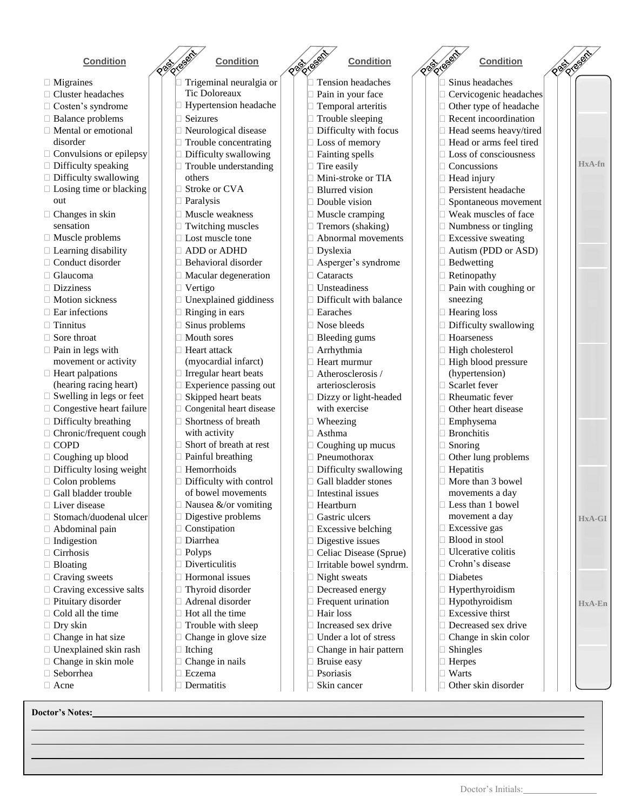- Migraines
- Cluster headaches
- □ Costen's syndrome
- □ Balance problems
- Mental or emotional disorder
- $\Box$  Convulsions or epilepsy
- $\Box$  Difficulty speaking
- Difficulty swallowing
- $\Box$  Losing time or blacking out
- □ Changes in skin sensation
- Muscle problems
- $\Box$  Learning disability
- □ Conduct disorder
- 
- □ Dizziness
- □ Motion sickness
- 
- 
- 
- $\square$  Pain in legs with movement or activity
- $\Box$  Heart palpations (hearing racing heart)
- □ Swelling in legs or feet
- $\Box$  Congestive heart failure
- $\Box$  Difficulty breathing
- Chronic/frequent cough
- COPD
- $\Box$  Coughing up blood
- $\Box$  Difficulty losing weight
- $\Box$  Colon problems
- Gall bladder trouble
- □ Liver disease
- □ Stomach/duodenal ulcer
- Abdominal pain
- □ Indigestion
- □ Cirrhosis
- □ Bloating
- $\Box$  Craving sweets
- $\Box$  Craving excessive salts
- $\Box$  Pituitary disorder
- $\Box$  Cold all the time
- □ Dry skin
- Change in hat size
- □ Unexplained skin rash
- $\Box$  Change in skin mole
- Seborrhea
- Acne

**Doctor's Notes:**

- Trigeminal neuralgia or Tic Doloreaux **Condition Condition Condition Condition**
	- Hypertension headache
	- Seizures
	- Neurological disease
	- **Trouble concentrating**
	- Difficulty swallowing
	- Trouble understanding
	- others
	- Stroke or CVA
	- □ Paralysis
	- Muscle weakness
	- Twitching muscles
	- **Lost muscle tone**
	- ADD or ADHD
	- Behavioral disorder
	-
	- Vertigo
	- Unexplained giddiness
	-
	-
	-
	- Heart attack
		- (myocardial infarct)
	- Irregular heart beats
	- Experience passing out
	- Skipped heart beats Congenital heart disease
	-
	- Shortness of breath with activity
	- Short of breath at rest
	- Painful breathing
	- Hemorrhoids Difficulty with control
		- of bowel movements
		- Nausea &/or vomiting
		- Digestive problems
	- Constipation
	- Diarrhea
	- Polyps
		- Diverticulitis
	- Hormonal issues
	- Thyroid disorder
	- Adrenal disorder
	- Hot all the time
	- Trouble with sleep Change in glove size
	- Itching
	- Change in nails
	- Eczema
	- $\Box$  Dermatitis

 Sinus headaches Cervicogenic headaches Other type of headache

 Concussions Head injury Persistent headache Spontaneous movement

Bedwetting

sneezing

 High cholesterol High blood pressure (hypertension) Scarlet fever Rheumatic fever Other heart disease

 Emphysema Bronchitis Snoring

Hepatitis

Diabetes

 Shingles Herpes Warts

 Hyperthyroidism Hypothyroidism Excessive thirst Decreased sex drive Change in skin color

□ Other skin disorder

Other lung problems

 More than 3 bowel movements a day Less than 1 bowel movement a day Excessive gas Blood in stool Ulcerative colitis Crohn's disease

 Recent incoordination Head seems heavy/tired Head or arms feel tired Loss of consciousness

**HxA-fn**

**HxA-GI**

**HxA-En**

 Weak muscles of face Numbness or tingling **Excessive sweating** 

Autism (PDD or ASD)

Pain with coughing or

- Tension headaches Pain in your face Temporal arteritis Trouble sleeping Difficulty with focus Loss of memory Fainting spells  $\Box$  Tire easily Mini-stroke or TIA Blurred vision **Double vision**  Muscle cramping Tremors (shaking) Abnormal movements Dyslexia Asperger's syndrome  $\Box$  Glaucoma  $\Box$   $\Box$  Macular degeneration  $\Box$  Cataracts  $\Box$  Retinopathy Unsteadiness Difficult with balance  $\Box$  Ear infections  $\Box$   $\Box$  Ringing in ears  $\Box$  Earaches  $\Box$  Hearing loss  $\Box$  Tinnitus  $\Box$   $\Box$  Sinus problems  $\Box$  Nose bleeds  $\Box$  Difficulty swallowing  $\Box$  Sore throat  $\Box$   $\Box$  Mouth sores  $\Box$   $\Box$  Bleeding gums  $\Box$  Hoarseness Arrhythmia Heart murmur Atherosclerosis / arteriosclerosis Dizzy or light-headed with exercise Wheezing Asthma Coughing up mucus Pneumothorax
	- Difficulty swallowing
	- Gall bladder stones
	- Intestinal issues Heartburn

 Gastric ulcers Excessive belching Digestive issues Celiac Disease (Sprue) Irritable bowel syndrm.

 $\Box$  Night sweats Decreased energy **Frequent urination** 

Hair loss

 Bruise easy Psoriasis □ Skin cancer

 Increased sex drive Under a lot of stress

Change in hair pattern

Doctor's Initials: